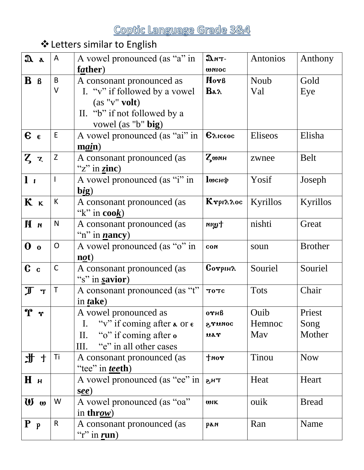# ❖Letters similar to English

| $\mathfrak{A}$ a                       | A            | A vowel pronounced (as "a" in                                | $\mathfrak{D}$ nT-         | Antonios    | Anthony        |
|----------------------------------------|--------------|--------------------------------------------------------------|----------------------------|-------------|----------------|
|                                        |              | father)                                                      | <b>WNIOC</b>               |             |                |
| $\mathbf{B}$ $\mathbf{B}$              | B            | A consonant pronounced as                                    | Nor <sub>B</sub>           | Noub        | Gold           |
|                                        | V            | I. " $v$ " if followed by a vowel                            | $\mathbf{Ba} \lambda$      | Val         | Eye            |
|                                        |              | $(as "v"$ volt)                                              |                            |             |                |
|                                        |              | II. "b" if not followed by a                                 |                            |             |                |
|                                        |              | vowel (as "b" big)                                           |                            |             |                |
| $\epsilon$                             | E            | A vowel pronounced (as "ai" in                               | $\epsilon_{\text{Aiceoc}}$ | Eliseos     | Elisha         |
|                                        |              | $\mathbf{main}$ )                                            |                            |             |                |
| $Z \, z$                               | Z            | A consonant pronounced (as                                   | ζωлн                       | zwnee       | <b>Belt</b>    |
|                                        |              | "z" in $\text{zinc}$ )                                       |                            |             |                |
| l <sub>i</sub>                         |              | A vowel pronounced (as "i" in                                | <b>П</b> шснф              | Yosif       | Joseph         |
|                                        |              | big)                                                         |                            |             |                |
| K <sub>K</sub>                         | K            | A consonant pronounced (as                                   | KrpinAoc                   | Kyrillos    | Kyrillos       |
|                                        |              | " $k$ " in cook)                                             |                            |             |                |
| n M                                    | $\mathsf{N}$ | A consonant pronounced (as                                   | twin                       | nishti      | Great          |
|                                        |              | "n" in $n$ ancy)                                             |                            |             |                |
| $\mathbf{0}$ o                         | O            | A vowel pronounced (as "o" in                                | CON                        | soun        | <b>Brother</b> |
|                                        |              | $\bf{not})$                                                  |                            |             |                |
| c <sub>c</sub>                         | $\mathsf C$  | A consonant pronounced (as                                   | Corpina                    | Souriel     | Souriel        |
|                                        |              | "s" in savior)                                               |                            |             |                |
| $\mathbb{J}$<br>$\mathbf{T}$           | T            | A consonant pronounced (as "t"                               | <b>TOTC</b>                | <b>Tots</b> | Chair          |
|                                        |              | in <i>t</i> ake)                                             |                            |             |                |
| $\mathbf{\hat{r}}$<br>n                |              | A vowel pronounced as                                        | $0$ $\n  YH\n$             | Ouib        | Priest         |
|                                        |              | "v" if coming after $\alpha$ or $\epsilon$<br>$\mathbf{I}$ . | STUNOC                     | Hemnoc      | Song           |
|                                        |              | "o" if coming after o<br>$\prod$ .                           | uar                        | May         | Mother         |
|                                        |              | "e" in all other cases<br>Ш.                                 |                            |             |                |
| 北<br>$\mathbf t$                       | Τi           | A consonant pronounced (as                                   | $*$ 0n $\uparrow$          | Tinou       | <b>Now</b>     |
|                                        |              | "tee" in <i>tee</i> th)                                      |                            |             |                |
| Hи                                     |              | A vowel pronounced (as "ee" in                               | THS                        | Heat        | Heart          |
|                                        |              | see)                                                         |                            |             |                |
| $\boldsymbol{w}$ $\boldsymbol{\omega}$ | W            | A vowel pronounced (as "oa"                                  | <b>WIK</b>                 | ouik        | <b>Bread</b>   |
|                                        |              | in <b>throw</b> )                                            |                            |             |                |
| $P_p$                                  | R            | A consonant pronounced (as                                   | рам                        | Ran         | Name           |
|                                        |              | "r" in $run$ )                                               |                            |             |                |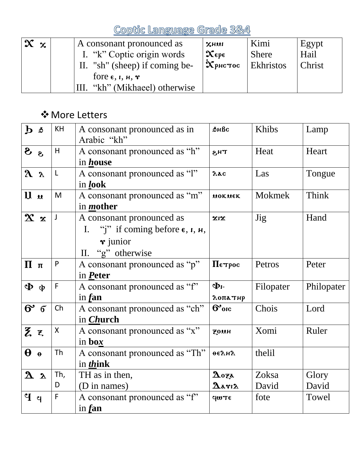| $\mathbf{x} \times$ | A consonant pronounced as<br>I. "k" Coptic origin words<br>"sh" (sheep) if coming be-<br>$\prod$ . | $x$ нии<br>$\mathbf{x}_{\epsilon}$<br>$\mathbf{\dot{x}}$ рнстос | Kimi<br><b>Shere</b><br><b>Ekhristos</b> | Egypt<br>Hail<br>Christ |
|---------------------|----------------------------------------------------------------------------------------------------|-----------------------------------------------------------------|------------------------------------------|-------------------------|
|                     | fore $\epsilon$ , <i>г</i> , <i>н</i> , $\mathbf{r}$<br>"kh" (Mikhaeel) otherwise                  |                                                                 |                                          |                         |

#### ❖More Letters

| $\mathbf{b}$ $\delta$     | KH           | A consonant pronounced as in<br>Arabic "kh"                                                                                           | <b>ФНВс</b>                             | Khibs      | Lamp       |
|---------------------------|--------------|---------------------------------------------------------------------------------------------------------------------------------------|-----------------------------------------|------------|------------|
| sS                        | H            | A consonant pronounced as "h"<br>in <i>house</i>                                                                                      | тнз                                     | Heat       | Heart      |
| $\lambda$ $\lambda$       | L            | A consonant pronounced as "l"<br>in look                                                                                              | $\lambda$ ac                            | Las        | Tongue     |
| $\mathbf{u}$ $\mathbf{u}$ | M            | A consonant pronounced as "m"<br>in <i>mother</i>                                                                                     | MOKNEK                                  | Mokmek     | Think      |
| $\mathbf{x} \times$       | $\mathsf{J}$ | A consonant pronounced as<br>I. "j" if coming before $\epsilon$ , $\iota$ , $\mu$ ,<br>$\mathbf{\dot{r}}$ junior<br>II. "g" otherwise | $x_1x$                                  | <b>Jig</b> | Hand       |
| $\Pi$ π                   | P            | A consonant pronounced as "p"<br>in Peter                                                                                             | Петрос                                  | Petros     | Peter      |
| $\Phi$ $\Phi$             | $\mathsf F$  | A consonant pronounced as "f"<br>in $f$ an                                                                                            | Φг-<br>λоπатир                          | Filopater  | Philopater |
| $6'$ $6'$                 | Ch           | A consonant pronounced as "ch"<br>in <i>Church</i>                                                                                    | $6°$ <sub>orc</sub>                     | Chois      | Lord       |
| Zξ                        | X            | A consonant pronounced as "x"<br>in box                                                                                               | <b>ZOUH</b>                             | Xomi       | Ruler      |
| $\theta$ $\theta$         | Th           | A consonant pronounced as "Th"<br>in <i>think</i>                                                                                     | <b>ФЕЛИЛ</b>                            | thelil     |            |
| 2a                        | Th,          | TH as in then,                                                                                                                        | $\boldsymbol{\Delta}$ oza               | Zoksa      | Glory      |
|                           | D            | (D in names)                                                                                                                          | $\mathbf{\Delta}$ arı $\mathbf{\Delta}$ | David      | David      |
| $\mathbf{P}$              | F            | A consonant pronounced as "f"<br>in $f$ an                                                                                            | Ϥωπε                                    | fote       | Towel      |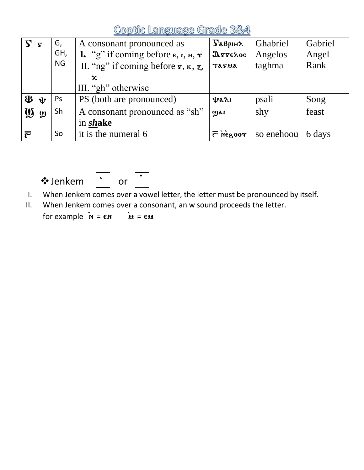|                       | $\overline{\mathbf{S}}$         | G,        | A consonant pronounced as                                            | $\sum$ $\alpha$ <i>B</i> pi <sub>H</sub> $\alpha$ | <b>Ghabriel</b> | Gabriel |
|-----------------------|---------------------------------|-----------|----------------------------------------------------------------------|---------------------------------------------------|-----------------|---------|
|                       |                                 | GH,       | <b>1.</b> "g" if coming before $\epsilon$ , $\iota$ , $\mu$ , $\tau$ | $\mathfrak{g}_{\mathbf{z}}$                       | Angelos         | Angel   |
|                       |                                 | <b>NG</b> | II. "ng" if coming before $\mathbf{r}, \mathbf{\kappa}, \mathbf{z}$  | TATUA                                             | taghma          | Rank    |
|                       |                                 |           | $\mathbf x$                                                          |                                                   |                 |         |
|                       |                                 |           | III. "gh" otherwise                                                  |                                                   |                 |         |
|                       | $\mathbf{\Phi}$ $\mathbf{\Psi}$ | Ps        | PS (both are pronounced)                                             | <b><i>Wall</i></b>                                | psali           | Song    |
| $\boldsymbol{\omega}$ | $\boldsymbol{\omega}$           | Sh        | A consonant pronounced as "sh"                                       | ழுகா                                              | shy             | feast   |
|                       |                                 |           | in shake                                                             |                                                   |                 |         |
| $\bar{\mathfrak{c}}$  |                                 | So        | it is the numeral 6                                                  | $\bar{r}$ negoor                                  | so enehoou      | 6 days  |





I. When Jenkem comes over a vowel letter, the letter must be pronounced by itself.

II. When Jenkem comes over a consonant, an w sound proceeds the letter.

for example  $\mathbf{\dot{n}} = \mathbf{\epsilon n}$   $\mathbf{\dot{u}} = \mathbf{\epsilon u}$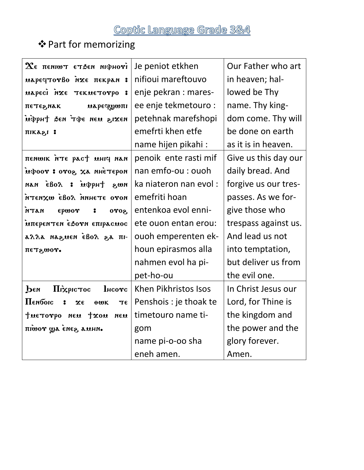#### ❖Part for memorizing

| $\boldsymbol{\chi}_{\mathfrak{e}}$ пенішт етзен ніфноті | Je peniot etkhen       | Our Father who art   |
|---------------------------------------------------------|------------------------|----------------------|
| иаречтотво на пекран:                                   | nifioui mareftouvo     | in heaven; hal-      |
| маресі міе текметотро<br>$\cdot$ :                      | enje pekran : mares-   | lowed be Thy         |
| ПЕТЕРЛАК<br><b>маречуюпі</b>                            | ee enje tekmetouro :   | name. Thy king-      |
| uippht sen ripe neu sixen                               | petehnak marefshopi    | dom come. Thy will   |
| піказі:                                                 | emefrti khen etfe      | be done on earth     |
|                                                         | name hijen pikahi:     | as it is in heaven.  |
| пенши пте раст инку нан                                 | penoik ente rasti mif  | Give us this day our |
| ифоот: отог, ха инетером                                | nan emfo-ou : ouoh     | daily bread. And     |
| nang tuqqué : xoâs nan                                  | ka niateron nan evol:  | forgive us our tres- |
| пото этэний Ловэ шхиэти                                 | emefriti hoan          | passes. As we for-   |
| <b>NATH</b><br>epwor<br>$\mathbf{r}$<br>0702            | entenkoa evol enni-    | give those who       |
| мперентен еботи епірасмос                               | ete ouon entan erou:   | trespass against us. |
| -iπ ag Λoθэ́ naugan aΛΛa                                | ouoh emperenten ek-    | And lead us not      |
| πετε,ωον.                                               | houn epirasmos alla    | into temptation,     |
|                                                         | nahmen evol ha pi-     | but deliver us from  |
|                                                         | pet-ho-ou              | the evil one.        |
| <b>I</b> HCOTC<br>Піхрістос<br>Реи                      | Khen Pikhristos Isos   | In Christ Jesus our  |
| Пембою<br>2<br>Xε<br>ΠE<br>$\theta$ WK                  | Penshois : je thoak te | Lord, for Thine is   |
| THETOVPO NEM TXOM<br>ием                                | timetouro name ti-     | the kingdom and      |
| пішот ща енее амни.                                     | gom                    | the power and the    |
|                                                         | name pi-o-oo sha       | glory forever.       |
|                                                         | eneh amen.             | Amen.                |